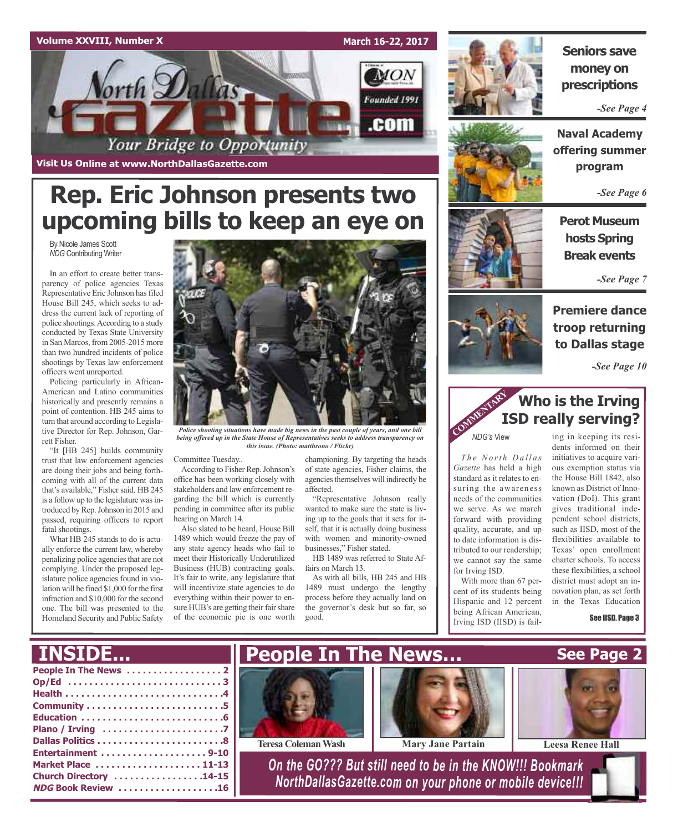



**Visit Us Online at www.NorthDallasGazette.com**

## **Rep** *-See Page <sup>6</sup>* **. Eric Johnson presents two upcoming bills to keep an eye on**

By Nicole James Scott *NDG* Contributing Writer

In an effort to create better transparency of police agencies Texas Representative Eric Johnson has filed House Bill 245, which seeks to address the current lack of reporting of police shootings.According to a study conducted by Texas State University in San Marcos, from 2005-2015 more than two hundred incidents of police shootings by Texas law enforcement officers went unreported.

Policing particularly in African-American and Latino communities historically and presently remains a point of contention. HB 245 aims to turn that around according to Legislative Director for Rep. Johnson, Garrett Fisher.

"It [HB 245] builds community trust that law enforcement agencies are doing their jobs and being forthcoming with all of the current data that's available," Fisher said. HB 245 is a follow up to the legislature was introduced by Rep. Johnson in 2015 and passed, requiring officers to report fatal shootings.

What HB 245 stands to do is actually enforce the current law, whereby penalizing police agencies that are not complying. Under the proposed legislature police agencies found in violation will be fined \$1,000 for the first infraction and \$10,000 for the second one. The bill was presented to the Homeland Security and Public Safety



*Police shooting situations have made big news in the past couple of years, and one bill being offered up in the State House of Representatives seeks to address transparency on this issue. (Photo: matthrono / Flickr)*

Committee Tuesday..

According to Fisher Rep. Johnson's office has been working closely with stakeholders and law enforcement regarding the bill which is currently pending in committee after its public hearing on March 14.

Also slated to be heard, House Bill 1489 which would freeze the pay of any state agency heads who fail to meet their Historically Underutilized Business (HUB) contracting goals. It's fair to write, any legislature that will incentivize state agencies to do everything within their power to ensure HUB's are getting their fair share of the economic pie is one worth

championing. By targeting the heads of state agencies, Fisher claims, the agencies themselves will indirectly be affected.

**March 16-22, 2017**

"Representative Johnson really wanted to make sure the state is living up to the goals that it sets for itself, that it is actually doing business with women and minority-owned businesses," Fisher stated.

HB 1489 was referred to State Affairs on March 13.

As with all bills, HB 245 and HB 1489 must undergo the lengthy process before they actually land on the governor's desk but so far, so good.



**Seniors save money on prescriptions**

*-See Page 4*



**Naval Academy offering summer program**

**Perot Museum hosts Spring Break events**

*-See Page 7*



**Premiere dance troop returning to Dallas stage**

*-See Page 10*

### **Who is the Irving ISD really serving? COMMENTARY I**

*NDG's* View

*T h e No rt h D a l l a s Gazette* has held a high standard as it relates to ensuring the awareness needs of the communities we serve. As we march forward with providing quality, accurate, and up to date information is distributed to our readership; we cannot say the same for Irving ISD.

With more than 67 percent of its students being Hispanic and 12 percent being African American, Irving ISD (IISD) is fail-

ing in keeping its residents informed on their initiatives to acquire various exemption status via the House Bill 1842, also known as District of Innovation (DoI). This grant gives traditional independent school districts, such as IISD, most of the flexibilities available to Texas' open enrollment charter schools. To access these flexibilities, a school district must adopt an innovation plan, as set forth in the Texas Education

See IISD, Page 3

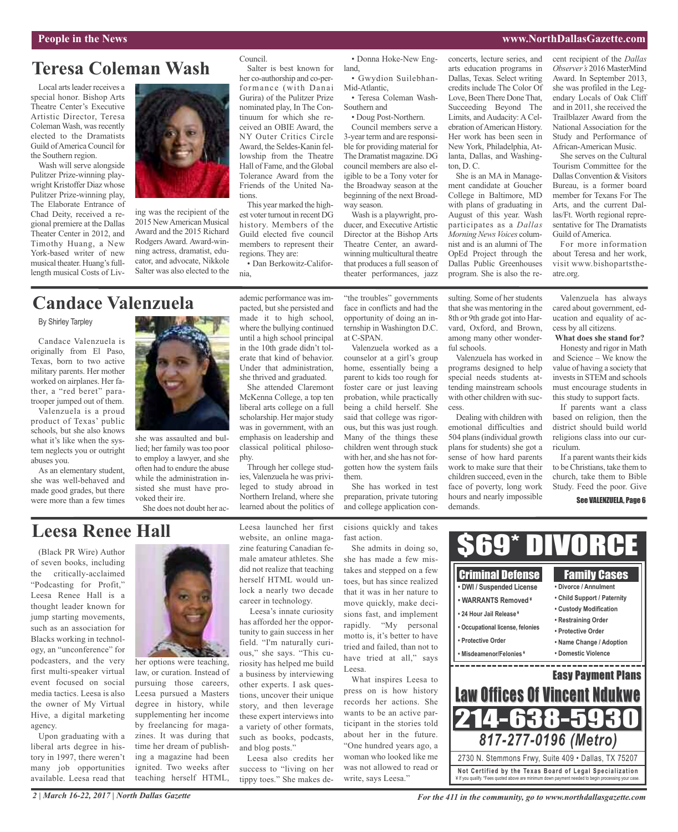#### **People in the News www.NorthDallasGazette.com**

### **Teresa Coleman Wash**

Local arts leader receives a special honor. Bishop Arts Theatre Center's Executive Artistic Director, Teresa Coleman Wash, was recently elected to the Dramatists Guild ofAmerica Council for the Southern region.

Wash will serve alongside Pulitzer Prize-winning playwright Kristoffer Diaz whose Pulitzer Prize-winning play, The Elaborate Entrance of Chad Deity, received a regional premiere at the Dallas Theater Center in 2012, and Timothy Huang, a New York-based writer of new musical theater. Huang's fulllength musical Costs of Liv-



ing was the recipient of the 2015 NewAmerican Musical Award and the 2015 Richard Rodgers Award. Award-winning actress, dramatist, educator, and advocate, Nikkole Salter was also elected to the

#### Council.

Salter is best known for her co-authorship and co-performance (with Danai Gurira) of the Pulitzer Prize nominated play, In The Continuum for which she received an OBIE Award, the NY Outer Critics Circle Award, the Seldes-Kanin fellowship from the Theatre Hall of Fame, and the Global Tolerance Award from the Friends of the United Nations.

This year marked the highest voter turnout in recent DG history. Members of the Guild elected five council members to represent their regions. They are:

• Dan Berkowitz-California,

• Donna Hoke-New England,

• Gwydion Suilebhan-Mid-Atlantic,

• Teresa Coleman Wash-Southern and

• Doug Post-Northern. Council members serve a

3-year term and are responsible for providing material for The Dramatist magazine. DG council members are also eligible to be a Tony voter for the Broadway season at the beginning of the next Broadway season.

Wash is a playwright, producer, and Executive Artistic Director at the Bishop Arts Theatre Center, an awardwinning multicultural theatre that produces a full season of theater performances, jazz

concerts, lecture series, and arts education programs in Dallas, Texas. Select writing credits include The Color Of Love, Been There Done That, Succeeding Beyond The Limits, and Audacity: A Celebration ofAmerican History. Her work has been seen in New York, Philadelphia, Atlanta, Dallas, and Washington, D. C.

She is an MA in Management candidate at Goucher College in Baltimore, MD with plans of graduating in August of this year. Wash participates as a *Dallas MorningNews Voices* columnist and is an alumni of The OpEd Project through the Dallas Public Greenhouses program. She is also the recent recipient of the *Dallas Observer's* 2016 MasterMind Award. In September 2013, she was profiled in the Legendary Locals of Oak Cliff and in 2011, she received the Trailblazer Award from the National Association for the Study and Performance of African-American Music.

She serves on the Cultural Tourism Committee for the Dallas Convention & Visitors Bureau, is a former board member for Texans For The Arts, and the current Dallas/Ft. Worth regional representative for The Dramatists Guild of America.

For more information about Teresa and her work, visit www.bishopartstheatre.org.

### **Candace Valenzuela**

By Shirley Tarpley

Candace Valenzuela is originally from El Paso, Texas, born to two active military parents. Her mother worked on airplanes. Her father, a "red beret" paratrooper jumped out of them.

Valenzuela is a proud product of Texas' public schools, but she also knows what it's like when the system neglects you or outright abuses you.

As an elementary student, she was well-behaved and made good grades, but there were more than a few times



she was assaulted and bullied; her family was too poor to employ a lawyer, and she often had to endure the abuse while the administration insisted she must have provoked their ire. She does not doubt her academic performance wasimpacted, but she persisted and made it to high school, where the bullying continued until a high school principal in the 10th grade didn't tolerate that kind of behavior. Under that administration, she thrived and graduated.

She attended Claremont McKenna College, a top ten liberal arts college on a full scholarship. Her major study was in government, with an emphasis on leadership and classical political philosophy.

Through her college studies, Valenzuela he was privileged to study abroad in Northern Ireland, where she learned about the politics of

"the troubles" governments face in conflicts and had the opportunity of doing an internship in Washington D.C. at C-SPAN. Valenzuela worked as a

counselor at a girl's group home, essentially being a parent to kids too rough for foster care or just leaving probation, while practically being a child herself. She said that college was rigorous, but this was just rough. Many of the things these children went through stuck with her, and she has not forgotten how the system fails them.

She has worked in test preparation, private tutoring and college application con-

she has made a few mis-Leesa.

press on is how history records her actions. She wants to be an active participant in the stories told about her in the future. "One hundred years ago, a woman who looked like me was not allowed to read or write, says Leesa."

sulting. Some of her students that she was mentoring in the 8th or 9th grade got into Harvard, Oxford, and Brown, among many other wonderful schools.

Valenzuela has worked in programs designed to help special needs students attending mainstream schools with other children with success.

Dealing with children with emotional difficulties and 504 plans(individual growth plans for students) she got a sense of how hard parents work to make sure that their children succeed, even in the face of poverty, long work hours and nearly impossible demands.

Valenzuela has always cared about government, education and equality of access by all citizens.

**What does she stand for?**

Honesty and rigor in Math and Science – We know the value of having a society that invests in STEM and schools must encourage students in this study to support facts.

If parents want a class based on religion, then the district should build world religions class into our curriculum.

If a parent wants their kids to be Christians, take them to church, take them to Bible Study. Feed the poor. Give

#### See VALENZUELA, Page 6

**Leesa Renee Hall**

(Black PR Wire) Author of seven books, including the critically-acclaimed "Podcasting for Profit," Leesa Renee Hall is a thought leader known for jump starting movements, such as an association for Blacks working in technology, an "unconference" for podcasters, and the very first multi-speaker virtual event focused on social media tactics. Leesa is also the owner of My Virtual Hive, a digital marketing agency.

Upon graduating with a liberal arts degree in history in 1997, there weren't many job opportunities available. Leesa read that



her options were teaching, law, or curation. Instead of pursuing those careers, Leesa pursued a Masters degree in history, while supplementing her income by freelancing for magazines. It was during that time her dream of publishing a magazine had been ignited. Two weeks after teaching herself HTML,

Leesa launched her first website, an online magazine featuring Canadian female amateur athletes. She did not realize that teaching herself HTML would unlock a nearly two decade career in technology. Leesa's innate curiosity

has afforded her the opportunity to gain success in her field. "I'm naturally curious," she says. "This curiosity has helped me build a business by interviewing other experts. I ask questions, uncover their unique story, and then leverage these expert interviews into a variety of other formats, such as books, podcasts, and blog posts."

Leesa also credits her success to "living on her tippy toes." She makes de-

cisions quickly and takes fast action. She admits in doing so,

takes and stepped on a few toes, but has since realized that it was in her nature to move quickly, make decisions fast, and implement rapidly. "My personal motto is, it's better to have tried and failed, than not to have tried at all," says

What inspires Leesa to



*2 | March 16-22, 2017 | North Dallas Gazette*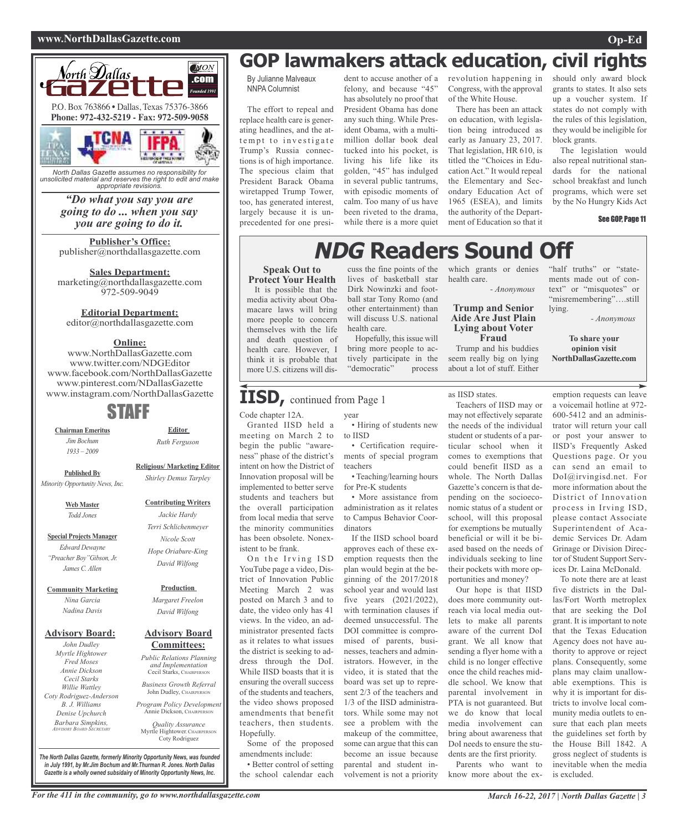### **www.NorthDallasGazette.com Op-Ed**



*North Dallas Gazette assumes no responsibility for unsolicited material and reserves the right to edit and make appropriate revisions.*

### *"Do what you say you are going to do ... when you say you are going to do it.*

**Publisher's Office:** publisher@northdallasgazette.com

**Sales Department:** marketing@northdallasgazette.com 972-509-9049

### **Editorial Department:**

editor@northdallasgazette.com

### **Online:**

www.NorthDallasGazette.com www.twitter.com/NDGEditor www.facebook.com/NorthDallasGazette www.pinterest.com/NDallasGazette www.instagram.com/NorthDallasGazette

### STAFF

**Chairman Emeritus** *Jim Bochum 1933 – 2009*

**Published By** *Minority Opportunity News, Inc.*

> **Web Master** *Todd Jones*

**Special Projects Manager** *Edward Dewayne "Preacher Boy"Gibson, Jr. James C. Allen*

**Community Marketing** *Nina Garcia Nadina Davis*

*John Dudley Myrtle Hightower Fred Moses Annie Dickson Cecil Starks Willie Wattley Coty Rodriguez-Anderson B. J. Williams Denise Upchurch Barbara Simpkins, ADVISORY BOARD SECRETARY*

**Advisory Board:**

**Religious/ Marketing Editor** *Shirley Demus Tarpley*

**Editor** *Ruth Ferguson*

### **Contributing Writers**

### *Jackie Hardy Terri Schlichenmeyer Nicole Scott Hope Oriabure-King David Wilfong*

**Production** *Margaret Freelon David Wilfong*

#### **Advisory Board Committees:**

*Public Relations Planning and Implementation* Cecil Starks, CHAIRPERSON

*Business Growth Referral* John Dudley, CHAIRPERSON

*Program Policy Development* Annie Dickson, CHAIRPER

*Quality Assurance* Myrtle Hightower, CHAIRPERSON Coty Rodriguez

*The North Dallas Gazette, formerly Minority Opportunity News, was founded in July 1991, by Mr.Jim Bochum and Mr.Thurman R. Jones. North Dallas Gazette is a wholly owned subsidairy of Minority Opportunity News, Inc.*

## **GOP lawmakers attack education, civil rights**

By Julianne Malveaux NNPA Columnist

The effort to repeal and replace health care is generating headlines, and the attempt to investigate Trump's Russia connections is of high importance. The specious claim that President Barack Obama wiretapped Trump Tower, too, has generated interest, largely because it is unprecedented for one president to accuse another of a felony, and because "45" has absolutely no proof that President Obama has done any such thing. While President Obama, with a multimillion dollar book deal tucked into his pocket, is living his life like its golden, "45" has indulged in several public tantrums, with episodic moments of calm. Too many of us have been riveted to the drama, while there is a more quiet revolution happening in Congress, with the approval of the White House.

There has been an attack on education, with legislation being introduced as early as January 23, 2017. That legislation, HR 610, is titled the "Choices in Education Act." It would repeal the Elementary and Secondary Education Act of 1965 (ESEA), and limits the authority of the Department of Education so that it

which grants or denies

**Trump and Senior Aide Are Just Plain Lying about Voter Fraud** Trump and his buddies seem really big on lying about a lot of stuff. Either

*- Anonymous*

health care.

should only award block grants to states. It also sets up a voucher system. If states do not comply with the rules of this legislation, they would be ineligible for block grants.

The legislation would also repeal nutritional standards for the national school breakfast and lunch programs, which were set by the No Hungry Kids Act

See GOP, Page 11

## **NDG Readers Sound Off**

**Speak Out to**

**Protect Your Health** It is possible that the media activity about Obamacare laws will bring more people to concern themselves with the life and death question of health care. However, I think it is probable that more U.S. citizens will discuss the fine points of the lives of basketball star Dirk Nowinzki and football star Tony Romo (and other entertainment) than will discuss U.S. national health care.

Hopefully, this issue will bring more people to actively participate in the "democratic" process

## **IISD,** continued from Page <sup>1</sup>

year

Code chapter 12A.

Granted IISD held a meeting on March 2 to begin the public "awareness" phase of the district's intent on how the District of Innovation proposal will be implemented to better serve students and teachers but the overall participation from local media that serve the minority communities has been obsolete. Nonexistent to be frank.

On the Irving ISD YouTube page a video, District of Innovation Public Meeting March 2 was posted on March 3 and to date, the video only has 41 views. In the video, an administrator presented facts as it relates to what issues the district is seeking to address through the DoI. While IISD boasts that it is ensuring the overall success of the students and teachers, the video shows proposed amendments that benefit teachers, then students. Hopefully. Some of the proposed

amendments include: • Better control of setting

the school calendar each

• Hiring of students new to IISD • Certification require-

ments of special program teachers • Teaching/learning hours

for Pre-K students • More assistance from

administration as it relates to Campus Behavior Coordinators If the IISD school board approves each of these exemption requests then the plan would begin at the beginning of the 2017/2018 school year and would last

five years (2021/2022), with termination clauses if deemed unsuccessful. The DOI committee is compromised of parents, businesses, teachers and administrators. However, in the video, it is stated that the board was set up to represent 2/3 of the teachers and 1/3 of the IISD administrators. While some may not see a problem with the makeup of the committee, some can argue that this can become an issue because parental and student in-

volvement is not a priority

as IISD states.

Teachers of IISD may or may not effectively separate the needs of the individual student or students of a particular school when it comes to exemptions that could benefit IISD as a whole. The North Dallas Gazette's concern is that depending on the socioeconomic status of a student or school, will this proposal for exemptions be mutually beneficial or will it be biased based on the needs of individuals seeking to line their pockets with more opportunities and money?

Our hope is that IISD does more community outreach via local media outlets to make all parents aware of the current DoI grant. We all know that sending a flyer home with a child is no longer effective once the child reaches middle school. We know that parental involvement in PTA is not guaranteed. But we do know that local media involvement can bring about awareness that DoI needs to ensure the students are the first priority. Parents who want to

know more about the ex-

"half truths" or "statements made out of context" or "misquotes" or "misremembering"….still lying. *- Anonymous*

**To share your**

**opinion visit NorthDallasGazette.com**

emption requests can leave a voicemail hotline at 972- 600-5412 and an administrator will return your call or post your answer to IISD's Frequently Asked Questions page. Or you can send an email to DoI@irvingisd.net. For more information about the District of Innovation process in Irving ISD, please contact Associate Superintendent of Academic Services Dr. Adam Grinage or Division Director of Student Support Services Dr. Laina McDonald.

To note there are at least five districts in the Dallas/Fort Worth metroplex that are seeking the DoI grant. It is important to note that the Texas Education Agency does not have authority to approve or reject plans. Consequently, some plans may claim unallowable exemptions. This is why it is important for districts to involve local community media outlets to ensure that each plan meets the guidelines set forth by the House Bill 1842. A gross neglect of students is inevitable when the media is excluded.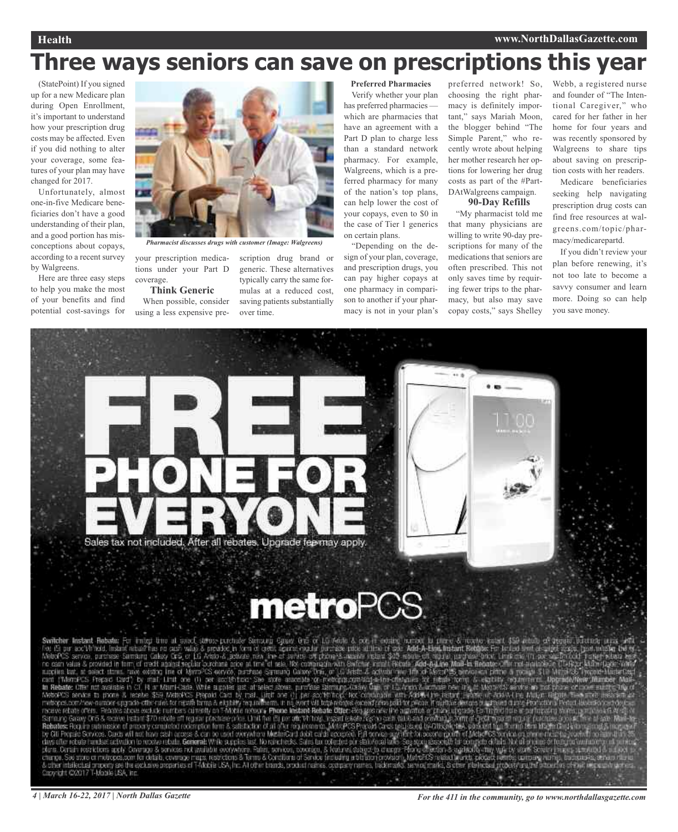### **Health www.NorthDallasGazette.com**

## **Three ways seniors can save on prescriptions this year**

(StatePoint) If you signed up for a new Medicare plan during Open Enrollment, it's important to understand how your prescription drug costs may be affected. Even if you did nothing to alter your coverage, some features of your plan may have changed for 2017.

Unfortunately, almost one-in-five Medicare beneficiaries don't have a good understanding of their plan, and a good portion has misconceptions about copays, according to a recent survey by Walgreens.

Here are three easy steps to help you make the most of your benefits and find potential cost-savings for



*Pharmacist discusses drugs with customer (Image: Walgreens)*

your prescription medications under your Part D coverage.

### **Think Generic**

When possible, consider using a less expensive prescription drug brand or generic. These alternatives typically carry the same formulas at a reduced cost, saving patients substantially over time.

**Preferred Pharmacies** Verify whether your plan has preferred pharmacies which are pharmacies that have an agreement with a Part D plan to charge less than a standard network pharmacy. For example, Walgreens, which is a preferred pharmacy for many of the nation's top plans, can help lower the cost of your copays, even to \$0 in the case of Tier 1 generics on certain plans.

"Depending on the design of your plan, coverage, and prescription drugs, you can pay higher copays at one pharmacy in comparison to another if your pharmacy is not in your plan's

preferred network! So, choosing the right pharmacy is definitely important," says Mariah Moon, the blogger behind "The Simple Parent," who recently wrote about helping her mother research her options for lowering her drug costs as part of the #Part-DAtWalgreens campaign.

**90-Day Refills**

"My pharmacist told me that many physicians are willing to write 90-day prescriptions for many of the medications that seniors are often prescribed. This not only saves time by requiring fewer trips to the pharmacy, but also may save copay costs," says Shelley

Webb, a registered nurse and founder of "The Intentional Caregiver," who cared for her father in her home for four years and was recently sponsored by Walgreens to share tips about saving on prescription costs with her readers.

Medicare beneficiaries seeking help navigating prescription drug costs can find free resources at walgreens.com/topic/pharmacy/medicarepartd.

If you didn't review your plan before renewing, it's not too late to become a savvy consumer and learn more. Doing so can help you save money.

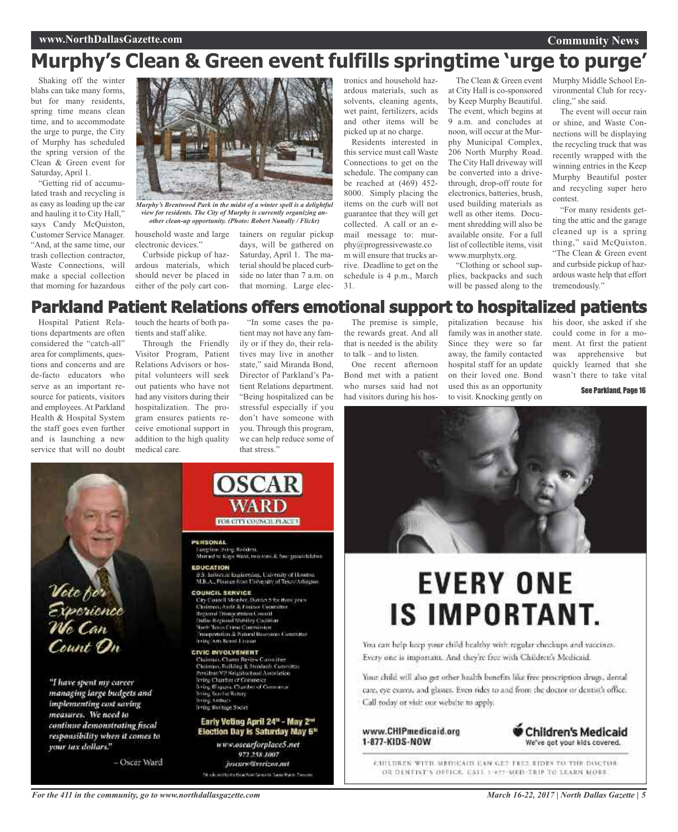## **Murphy's Clean & Green event fulfills springtime 'urge to purge'**

Shaking off the winter blahs can take many forms, but for many residents, spring time means clean time, and to accommodate the urge to purge, the City of Murphy has scheduled the spring version of the Clean & Green event for Saturday, April 1.

"Getting rid of accumulated trash and recycling is as easy as loading up the car and hauling it to City Hall," says Candy McQuiston, Customer Service Manager. "And, at the same time, our trash collection contractor, Waste Connections, will make a special collection that morning for hazardous



*Murphy's Brentwood Park in the midst of a winter spell is a delightful view for residents. The City of Murphy is currently organizing another clean-up opportunity. (Photo: Robert Nunally / Flickr)*

electronic devices." Curbside pickup of hazardous materials, which should never be placed in either of the poly cart con-

household waste and large tainers on regular pickup days, will be gathered on Saturday, April 1. The material should be placed curbside no later than 7 a.m. on that morning. Large elec-

tronics and household hazardous materials, such as solvents, cleaning agents, wet paint, fertilizers, acids and other items will be picked up at no charge.

Residents interested in this service must call Waste Connections to get on the schedule. The company can be reached at (469) 452- 8000. Simply placing the items on the curb will not guarantee that they will get collected. A call or an email message to: murphy@progressivewaste.co m will ensure that trucks arrive. Deadline to get on the schedule is 4 p.m., March 31.

The Clean & Green event at City Hall is co-sponsored by Keep Murphy Beautiful. The event, which begins at 9 a.m. and concludes at noon, will occur at the Murphy Municipal Complex, 206 North Murphy Road. The City Hall driveway will be converted into a drivethrough, drop-off route for electronics, batteries, brush, used building materials as well as other items. Document shredding will also be available onsite. For a full list of collectible items, visit www.murphytx.org.

"Clothing or school supplies, backpacks and such will be passed along to the Murphy Middle School Environmental Club for recycling," she said.

**Community News**

The event will occur rain or shine, and Waste Connections will be displaying the recycling truck that was recently wrapped with the winning entries in the Keep Murphy Beautiful poster and recycling super hero contest.

"For many residents getting the attic and the garage cleaned up is a spring thing," said McQuiston. "The Clean & Green event and curbside pickup of hazardous waste help that effort tremendously."

### **Parkland Patient Relations offers emotional support to hospitalized patients**

Hospital Patient Relations departments are often considered the "catch-all" area for compliments, questions and concerns and are de-facto educators who serve as an important resource for patients, visitors and employees. At Parkland Health & Hospital System the staff goes even further and is launching a new service that will no doubt

touch the hearts of both patients and staff alike.

Through the Friendly Visitor Program, Patient Relations Advisors or hospital volunteers will seek out patients who have not had any visitors during their hospitalization. The program ensures patients receive emotional support in addition to the high quality medical care.

"In some cases the patient may not have any family or if they do, their relatives may live in another state," said Miranda Bond, Director of Parkland's Patient Relations department. "Being hospitalized can be stressful especially if you don't have someone with you. Through this program, we can help reduce some of that stress."

The premise is simple, the rewards great. And all that is needed is the ability to talk – and to listen.

One recent afternoon Bond met with a patient who nurses said had not had visitors during his hospitalization because his family was in another state. Since they were so far away, the family contacted hospital staff for an update on their loved one. Bond used this as an opportunity to visit. Knocking gently on

his door, she asked if she could come in for a moment. At first the patient was apprehensive but quickly learned that she wasn't there to take vital

See Parkland, Page 16



Vote for<br>Experience Count On

"I have spent my career managing large budgets and implementing cost soving measures. We need to continue demonstrating fiscal responsibility when it comes to your tax dollars."

- Oscar Ward

### **OSCAR** WARD **FOR CITY COUNCIL PLACES**

### PERSONAL

Englise Fring Redden.<br>Longine Fring Redden.<br>Maried to Kiya Want, two tops & four graafriktien. **EDUCATION** 

35. Informa Engineering, University of Houston.<br>M.B.A., Pinnee from University of Texas Adiagon.

COUNCIL SERVICE<br>Cry Court | Member, Danier 5 for these years Chairmei, Avrilt & Finance Committee **Tegioral Transportation Council Stallas Regional Mobiley Coolition**<br>North Taxes Crime Commission Traxportation & Natural Bostonees Contrainer<br>Pring Arts Board Luxuan

#### **CIVIC INVOLVEMENT**

Chainnas, Chaner Review Canonifee<br>Chairman, Fediding & Steedards Committee President/VI! Neigirborhood Association<br>Irving Charther of Commesce A ring Channel of Commission<br>Aring Stanles Women<br>Roing Stanles Women freing Anthoco<br>frring Heritage Studet

### Early Voting April 24<sup>th</sup> - May 2<sup>nd</sup> Election Day is Saturday May 6<sup>16</sup>

www.oscarforplace5.net 972.258.1007 joscure@verizon.net

Node material Grande and Greates (Sew Material Terminal

# **EVERY ONE IS IMPORTANT.**

You can help keep your child healthy with regular checkups and vaccines. Every one is important. And they're free with Childrett's Medicaid.

Your child will also get other health benefits like free prescription drugs, dental care, eye exams, and glasses. Even rides to and from the doctor or dentist's office. Call today or visit our website to apply.

www.CHIPmedicaid.org 1-877-KIDS-NOW



CHILDREN WITH MEDICAIN CAN GET FREE RIDES TO THE DOCTOR DR DENTIST'S OFFICE, CALL 1-877-MED-TRIP TO LEARN MORE.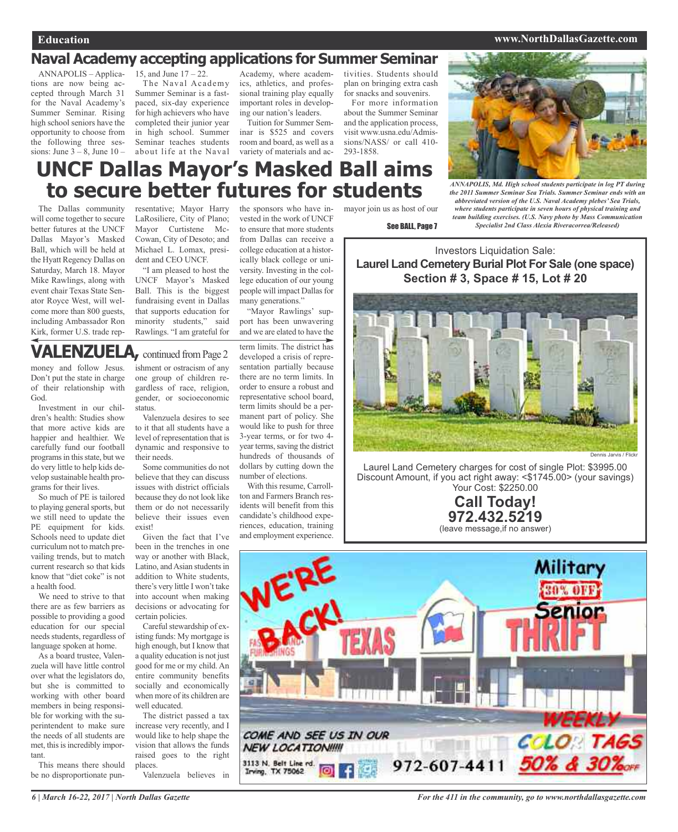### **Education www.NorthDallasGazette.com**

### **Naval Academy accepting applications for Summer Seminar**

ANNAPOLIS – Applications are now being accepted through March 31 for the Naval Academy's Summer Seminar. Rising high school seniors have the opportunity to choose from the following three sessions: June  $3 - 8$ , June  $10 -$ 

15, and June 17 – 22. The Naval Academy Summer Seminar is a fastpaced, six-day experience for high achievers who have completed their junior year in high school. Summer Seminar teaches students about life at the Naval

Academy, where academics, athletics, and professional training play equally important roles in developing our nation's leaders.

Tuition for Summer Seminar is \$525 and covers room and board, as well as a variety of materials and activities. Students should plan on bringing extra cash for snacks and souvenirs.

For more information about the Summer Seminar and the application process, visit www.usna.edu/Admissions/NASS/ or call 410- 293-1858.

mayor join us as host of our



*ANNAPOLIS, Md. High school students participate in log PT during the 2011 Summer Seminar Sea Trials. Summer Seminar ends with an abbreviated version of the U.S. Naval Academy plebes' Sea Trials,*

*where students participate in seven hours of physical training and team building exercises. (U.S. Navy photo by Mass Communication Specialist 2nd Class Alexia Riveracorrea/Released)*

See BALL, Page 7

Investors Liquidation Sale: **Laurel Land Cemetery Burial Plot For Sale (one space) Section # 3, Space # 15, Lot # 20**



Laurel Land Cemetery charges for cost of single Plot: \$3995.00 Discount Amount, if you act right away: <\$1745.00> (your savings) Your Cost: \$2250.00

> **Call Today! 972.432.5219** (leave message,if no answer)



## **UNCF Dallas Mayor's Masked Ball aims to secure better futures for students**

The Dallas community will come together to secure better futures at the UNCF Dallas Mayor's Masked Ball, which will be held at the Hyatt Regency Dallas on Saturday, March 18. Mayor Mike Rawlings, along with event chair Texas State Senator Royce West, will welcome more than 800 guests, including Ambassador Ron Kirk, former U.S. trade rep-

resentative; Mayor Harry LaRosiliere, City of Plano; Mayor Curtistene Mc-Cowan, City of Desoto; and Michael L. Lomax, president and CEO UNCF. "I am pleased to host the

UNCF Mayor's Masked Ball. This is the biggest fundraising event in Dallas that supports education for minority students," said Rawlings. "I am grateful for the sponsors who have invested in the work of UNCF to ensure that more students from Dallas can receive a college education at a historically black college or university. Investing in the college education of our young people will impact Dallas for many generations."

"Mayor Rawlings' support has been unwavering and we are elated to have the

## **VALENZUELA,** continued fromPage <sup>2</sup>

money and follow Jesus. Don't put the state in charge of their relationship with God.

Investment in our children's health: Studies show that more active kids are happier and healthier. We carefully fund our football programs in this state, but we do very little to help kids develop sustainable health programs for their lives.

So much of PE is tailored to playing general sports, but we still need to update the PE equipment for kids. Schools need to update diet curriculum not to match prevailing trends, but to match current research so that kids know that "diet coke" is not a health food.

We need to strive to that there are as few barriers as possible to providing a good education for our special needs students, regardless of language spoken at home.

As a board trustee, Valenzuela will have little control over what the legislators do, but she is committed to working with other board members in being responsible for working with the superintendent to make sure the needs of all students are met, this is incredibly important.

This means there should be no disproportionate punishment or ostracism of any one group of children regardless of race, religion, gender, or socioeconomic status.

Valenzuela desires to see to it that all students have a level of representation that is dynamic and responsive to their needs.

Some communities do not believe that they can discuss issues with district officials because they do not look like them or do not necessarily believe their issues even exist!

Given the fact that I've been in the trenches in one way or another with Black, Latino, and Asian students in addition to White students, there's very little I won't take into account when making decisions or advocating for certain policies.

Careful stewardship of existing funds: My mortgage is high enough, but I know that a quality education is not just good for me or my child. An entire community benefits socially and economically when more of its children are well educated.

The district passed a tax increase very recently, and I would like to help shape the vision that allows the funds raised goes to the right places.

Valenzuela believes in

term limits. The district has developed a crisis of representation partially because there are no term limits. In order to ensure a robust and representative school board, term limits should be a permanent part of policy. She would like to push for three 3-year terms, or for two 4 year terms, saving the district

hundreds of thousands of dollars by cutting down the number of elections.

With this resume, Carrollton and Farmers Branch residents will benefit from this candidate's childhood experiences, education, training and employment experience.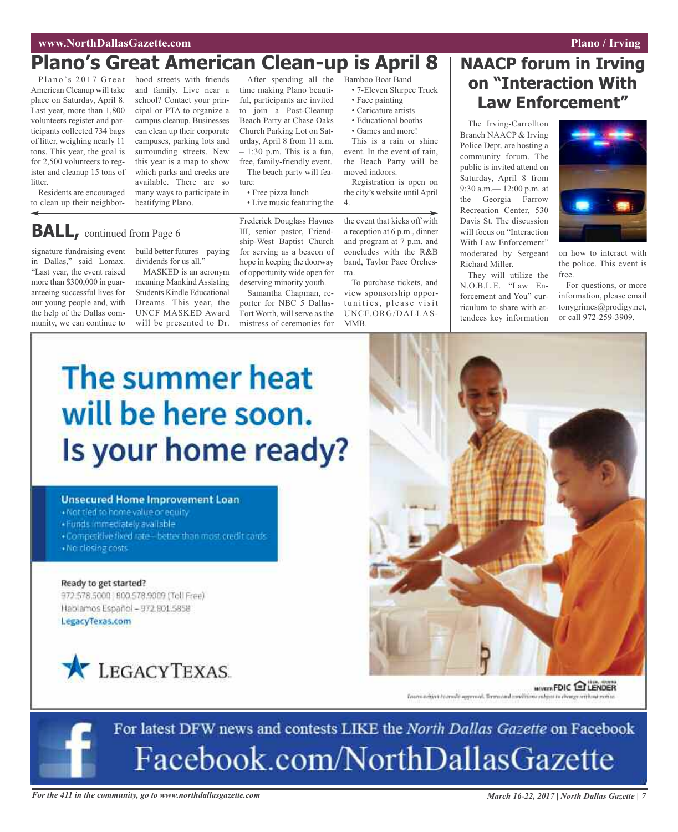### **www.NorthDallasGazette.com Plano** / **Irving**

### **Plano's Great American Clean-up is April 8** hood streets with friends

Plano's 2017 Great American Cleanup will take place on Saturday, April 8. Last year, more than 1,800 volunteers register and participants collected 734 bags of litter, weighing nearly 11 tons. This year, the goal is for 2,500 volunteers to register and cleanup 15 tons of **litter** 

Residents are encouraged to clean up their neighbor-

### **BALL,** continued from Page <sup>6</sup>

signature fundraising event in Dallas," said Lomax. "Last year, the event raised more than \$300,000 in guaranteeing successful lives for our young people and, with the help of the Dallas community, we can continue to cipal or PTA to organize a campus cleanup. Businesses can clean up their corporate campuses, parking lots and surrounding streets. New this year is a map to show which parks and creeks are available. There are so many ways to participate in beatifying Plano.

and family. Live near a school? Contact your prin-

build better futures—paying dividends for us all."

MASKED is an acronym meaning Mankind Assisting Students Kindle Educational Dreams. This year, the UNCF MASKED Award will be presented to Dr.

to join a Post-Cleanup Beach Party at Chase Oaks Church Parking Lot on Saturday, April 8 from 11 a.m.  $-1:30$  p.m. This is a fun, free, family-friendly event. The beach party will feature:

• Free pizza lunch

• Live music featuring the

time making Plano beautiful, participants are invited

Frederick Douglass Haynes III, senior pastor, Friendship-West Baptist Church for serving as a beacon of hope in keeping the doorway of opportunity wide open for deserving minority youth.

Samantha Chapman, reporter for NBC 5 Dallas-Fort Worth, will serve as the mistress of ceremonies for

After spending all the Bamboo Boat Band • 7-Eleven Slurpee Truck

- Face painting
- Caricature artists

• Educational booths

• Games and more! This is a rain or shine event. In the event of rain, the Beach Party will be moved indoors.

Registration is open on the city's website until April 4.

the event that kicks off with a reception at 6 p.m., dinner and program at 7 p.m. and concludes with the R&B band, Taylor Pace Orchestra.

To purchase tickets, and view sponsorship opportunities, please visit UNCF.ORG/DALLAS-MMB.

### **NAACP forum in Irving on "Interaction With Law Enforcement"**

The Irving-Carrollton Branch NAACP & Irving Police Dept. are hosting a community forum. The public is invited attend on Saturday, April 8 from 9:30 a.m.— 12:00 p.m. at the Georgia Farrow Recreation Center, 530 Davis St. The discussion will focus on "Interaction With Law Enforcement" moderated by Sergeant Richard Miller.

They will utilize the N.O.B.L.E. "Law Enforcement and You" curriculum to share with attendees key information



on how to interact with the police. This event is free.

For questions, or more information, please email tonygrimes@prodigy.net, or call 972-259-3909.

# The summer heat will be here soon. Is your home ready?

#### **Unsecured Home Improvement Loan**

· Not tied to home value or equity

. Funds immediately available

· Competitive fixed rate-better than most credit cards

· No closing costs

### Ready to get started?

972.578.5000 800.578.9009 (Toll Free) Hablamos Español - 972.801.5858

LegacyTexas.com





**MARK FDIC ELENDER** Loans which to credit approval. Terms and conditions subject to change without ratio



For latest DFW news and contests LIKE the North Dallas Gazette on Facebook Facebook.com/NorthDallasGazette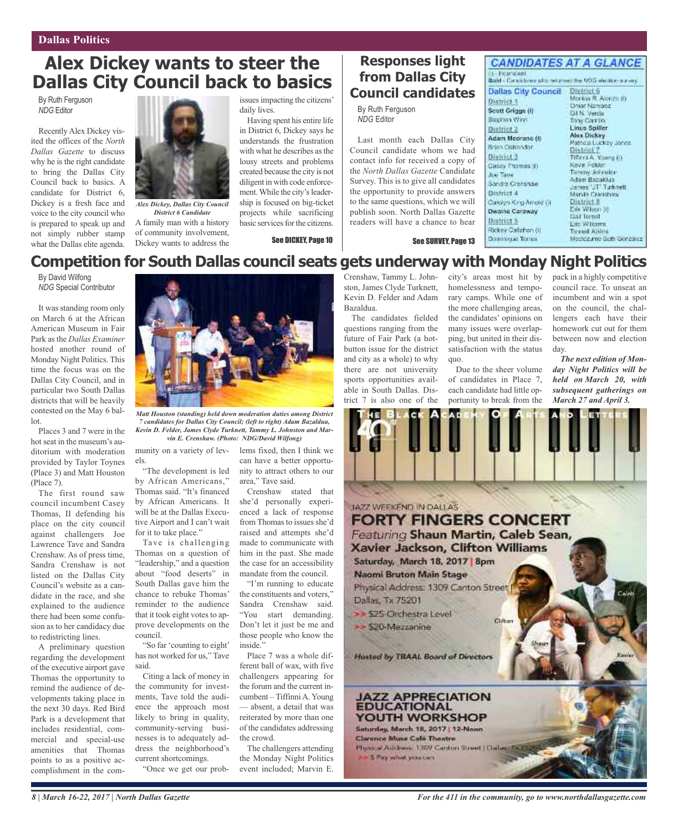### **Alex Dickey wants to steer the Dallas City Council back to basics**

By Ruth Ferguson *NDG* Editor

Recently Alex Dickey visited the offices of the *North Dallas Gazette* to discuss why he is the right candidate to bring the Dallas City Council back to basics. A candidate for District 6, Dickey is a fresh face and voice to the city council who is prepared to speak up and not simply rubber stamp what the Dallas elite agenda.



A family man with a history of community involvement, *Alex Dickey, Dallas City Council District 6 Candidate*

Dickey wants to address the

issues impacting the citizens' daily lives.

Having spent his entire life in District 6, Dickey says he understands the frustration with what he describes asthe lousy streets and problems created because the city is not diligent in with code enforcement. While the city's leadership is focused on big-ticket projects while sacrificing basic services for the citizens.

#### See DICKEY, Page 10

### **Responses light from Dallas City Council candidates**

By Ruth Ferguson *NDG* Editor

Last month each Dallas City Council candidate whom we had contact info for received a copy of the *North Dallas Gazette* Candidate Survey. This is to give all candidates the opportunity to provide answers to the same questions, which we will publish soon. North Dallas Gazette readers will have a chance to hear

See SURVEY, Page 13

| <b>CANDIDATES AT A GLANCE</b><br><b>H-PORMER</b><br>Bold - Cencidiaes who returned the NOS election survey. |                                                                 |
|-------------------------------------------------------------------------------------------------------------|-----------------------------------------------------------------|
|                                                                                                             |                                                                 |
| Rickey Catahan (i)<br><b>Exhaustrals wir Trigorists</b>                                                     | <b>Tannal Altina</b><br><b>Monda Street Gordon Construction</b> |

### **Competition for South Dallas council seats gets underway with Monday Night Politics**

By David Wilfong *NDG* Special Contributor

It was standing room only on March 6 at the African American Museum in Fair Park as the *Dallas Examiner* hosted another round of Monday Night Politics. This time the focus was on the Dallas City Council, and in particular two South Dallas districts that will be heavily contested on the May 6 ballot.

Places 3 and 7 were in the hot seat in the museum's auditorium with moderation provided by Taylor Toynes (Place 3) and Matt Houston (Place 7).

The first round saw council incumbent Casey Thomas, II defending his place on the city council against challengers Joe Lawrence Tave and Sandra Crenshaw. As of press time, Sandra Crenshaw is not listed on the Dallas City Council's website as a candidate in the race, and she explained to the audience there had been some confusion as to her candidacy due to redistricting lines.

A preliminary question regarding the development of the executive airport gave Thomas the opportunity to remind the audience of developments taking place in the next 30 days. Red Bird Park is a development that includes residential, commercial and special-use amenities that Thomas points to as a positive accomplishment in the com-



*Matt Houston (standing) held down moderation duties among District 7 candidates for Dallas City Council; (left to right) Adam Bazaldua, Kevin D. Felder, James Clyde Turknett, Tammy L. Johnston and Marvin E. Crenshaw. (Photo: NDG/David Wilfong)*

munity on a variety of levels.

"The development is led by African Americans," Thomas said. "It's financed by African Americans. It will be at the Dallas Executive Airport and I can't wait for it to take place."

Tave is challenging Thomas on a question of "leadership," and a question about "food deserts" in South Dallas gave him the chance to rebuke Thomas' reminder to the audience that it took eight votes to approve developments on the council.

"So far 'counting to eight' has not worked for us," Tave said.

Citing a lack of money in the community for investments, Tave told the audience the approach most likely to bring in quality, community-serving businesses is to adequately address the neighborhood's current shortcomings.

"Once we get our prob-

lems fixed, then I think we can have a better opportunity to attract others to our area," Tave said.

Crenshaw stated that she'd personally experienced a lack of response from Thomas to issues she'd raised and attempts she'd made to communicate with him in the past. She made the case for an accessibility mandate from the council.

"I'm running to educate the constituents and voters," Sandra Crenshaw said. "You start demanding. Don't let it just be me and those people who know the inside.'

Place 7 was a whole different ball of wax, with five challengers appearing for the forum and the current incumbent – Tiffinni A. Young — absent, a detail that was reiterated by more than one of the candidates addressing the crowd.

The challengers attending the Monday Night Politics event included; Marvin E. Crenshaw, Tammy L. Johnston, James Clyde Turknett, Kevin D. Felder and Adam Bazaldua.

The candidates fielded questions ranging from the future of Fair Park (a hotbutton issue for the district and city as a whole) to why there are not university sports opportunities available in South Dallas. District 7 is also one of the

city's areas most hit by homelessness and temporary camps. While one of the more challenging areas, the candidates' opinions on many issues were overlapping, but united in their dissatisfaction with the status  $q$ uo.

Due to the sheer volume of candidates in Place 7, each candidate had little opportunity to break from the pack in a highly competitive council race. To unseat an incumbent and win a spot on the council, the challengers each have their homework cut out for them between now and election day.

*The next edition of Monday Night Politics will be held on March 20, with subsequent gatherings on March 27 and April 3.*



Physical Administration Street | D - S Pay what you can

*For the 411 in the community, go to www.northdallasgazette.com*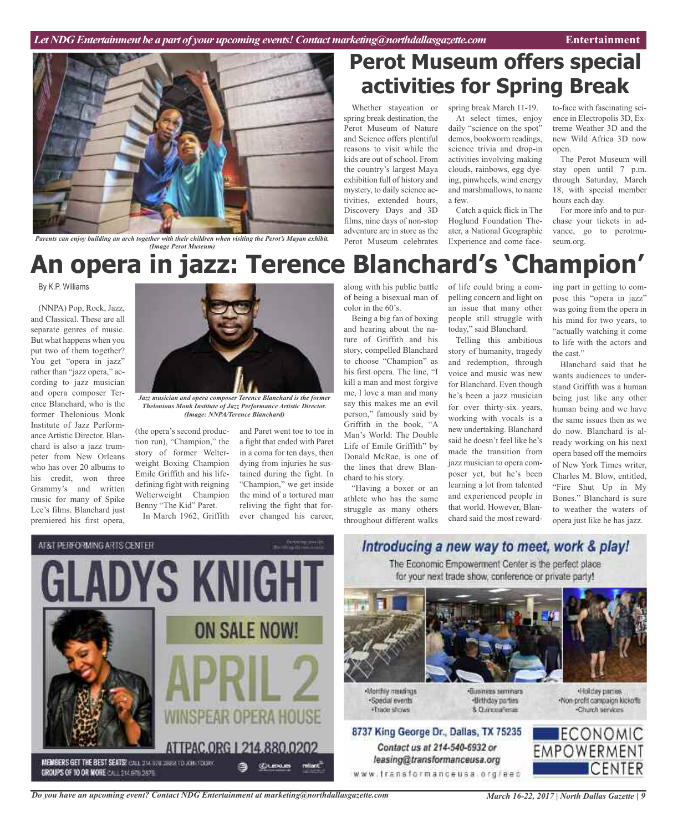

Parents can enjoy building an arch together with their children when visiting the Perot's Mayan exhibit. Perot Museum celebrates Experience and come face-<br>Perot Museum celebrates Experience and come face-*(Image Perot Museum)*

## **An opera in jazz: Terence Blanchard's 'Champion'**

By K.P. Williams

(NNPA) Pop, Rock, Jazz, and Classical. These are all separate genres of music. But what happens when you put two of them together? You get "opera in jazz" rather than "jazz opera," according to jazz musician and opera composer Terence Blanchard, who is the former Thelonious Monk Institute of Jazz Performance Artistic Director. Blanchard is also a jazz trumpeter from New Orleans who has over 20 albums to his credit, won three Grammy's and written music for many of Spike Lee's films. Blanchard just premiered his first opera,



*Jazz musician and opera composer Terence Blanchard is the former Thelonious Monk Institute of Jazz Performance Artistic Director. (Image: NNPA/Terence Blanchard)*

(the opera's second production run), "Champion," the story of former Welterweight Boxing Champion Emile Griffith and his lifedefining fight with reigning Welterweight Champion Benny "The Kid" Paret. In March 1962, Griffith

and Paret went toe to toe in a fight that ended with Paret in a coma for ten days, then dying from injuries he sustained during the fight. In "Champion," we get inside the mind of a tortured man reliving the fight that forever changed his career,

of being a bisexual man of color in the 60's.

Whether staycation or spring break destination, the Perot Museum of Nature and Science offers plentiful reasons to visit while the kids are out of school. From the country's largest Maya exhibition full of history and mystery, to daily science activities, extended hours, Discovery Days and 3D films, nine days of non-stop adventure are in store as the Perot Museum celebrates

Being a big fan of boxing and hearing about the nature of Griffith and his story, compelled Blanchard to choose "Champion" as his first opera. The line, "I kill a man and most forgive me, I love a man and many say this makes me an evil person," famously said by Griffith in the book, "A Man's World: The Double Life of Emile Griffith" by Donald McRae, is one of the lines that drew Blanchard to his story.

"Having a boxer or an athlete who has the same struggle as many others throughout different walks

spring break March 11-19. At select times, enjoy daily "science on the spot" demos, bookworm readings, science trivia and drop-in activities involving making clouds, rainbows, egg dyeing, pinwheels, wind energy and marshmallows, to name a few.

**Perot Museum offers special**

**activities for Spring Break**

Catch a quick flick in The Hoglund Foundation Theater, a National Geographic Experience and come faceto-face with fascinating science in Electropolis 3D, Extreme Weather 3D and the new Wild Africa 3D now open.

The Perot Museum will stay open until 7 p.m. through Saturday, March 18, with special member hours each day.

For more info and to purchase your tickets in advance, go to perotmu-

## along with his public battle of life could bring a com-

pelling concern and light on an issue that many other people still struggle with today," said Blanchard.

Telling this ambitious story of humanity, tragedy and redemption, through voice and music was new for Blanchard. Even though he's been a jazz musician for over thirty-six years, working with vocals is a new undertaking. Blanchard said he doesn't feel like he's made the transition from jazz musician to opera composer yet, but he's been learning a lot from talented and experienced people in that world. However, Blanchard said the most reward-

ing part in getting to compose this "opera in jazz" was going from the opera in his mind for two years, to "actually watching it come to life with the actors and the cast."

Blanchard said that he wants audiences to understand Griffith was a human being just like any other human being and we have the same issues then as we do now. Blanchard is already working on his next opera based off the memoirs of New York Times writer, Charles M. Blow, entitled, "Fire Shut Up in My Bones." Blanchard is sure to weather the waters of opera just like he has jazz.



## Introducing a new way to meet, work & play! The Economic Empowerment Center is the perfect place for your next trade show, conference or private party!



·Special events . Trade shows

Contact us at 214-540-6932 or

leasing@transformanceusa.org

·Business seminars ·Birthday parties 8 Currosafena





*Do you have an upcoming event? Contact NDG Entertainment at marketing@northdallasgazette.com*

*March 16-22, 2017 | North Dallas Gazette | 9*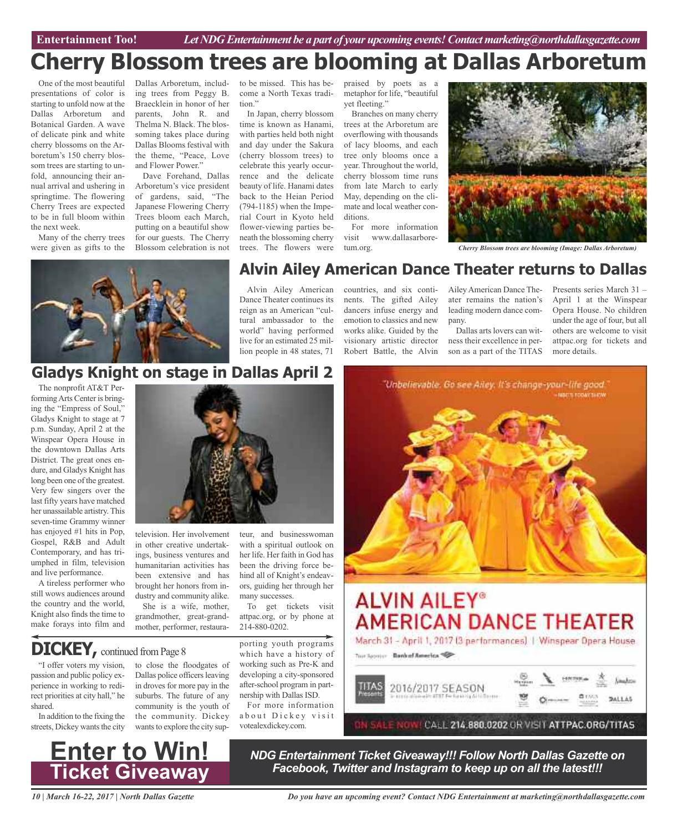## **Cherry Blossom trees are blooming at Dallas Arboretum**

One of the most beautiful presentations of color is starting to unfold now at the Dallas Arboretum and Botanical Garden. A wave of delicate pink and white cherry blossoms on the Arboretum's 150 cherry blossom trees are starting to unfold, announcing their annual arrival and ushering in springtime. The flowering Cherry Trees are expected to be in full bloom within the next week.

Many of the cherry trees were given as gifts to the

Dallas Arboretum, including trees from Peggy B. Braecklein in honor of her parents, John R. and Thelma N. Black. The blossoming takes place during Dallas Blooms festival with the theme, "Peace, Love and Flower Power."

Dave Forehand, Dallas Arboretum's vice president of gardens, said, "The Japanese Flowering Cherry Trees bloom each March, putting on a beautiful show for our guests. The Cherry Blossom celebration is not

to be missed. This has become a North Texas tradition."

In Japan, cherry blossom time is known as Hanami, with parties held both night and day under the Sakura (cherry blossom trees) to celebrate this yearly occurrence and the delicate beauty of life. Hanami dates back to the Heian Period (794-1185) when the Imperial Court in Kyoto held flower-viewing parties beneath the blossoming cherry trees. The flowers were

praised by poets as a metaphor for life, "beautiful yet fleeting."

Branches on many cherry trees at the Arboretum are overflowing with thousands of lacy blooms, and each tree only blooms once a year. Throughout the world, cherry blossom time runs from late March to early May, depending on the climate and local weather conditions.

For more information visit www.dallasarbore-



tum.org. *Cherry Blossom trees are blooming (Image: Dallas Arboretum)*



### **Alvin Ailey American Dance Theater returns to Dallas**

Alvin Ailey American Dance Theater continues its reign as an American "cultural ambassador to the world" having performed live for an estimated 25 million people in 48 states, 71

countries, and six continents. The gifted Ailey dancers infuse energy and emotion to classics and new works alike. Guided by the visionary artistic director Robert Battle, the Alvin Ailey American Dance Theater remains the nation's leading modern dance company.

Dallas arts lovers can witness their excellence in person as a part of the TITAS

'Unbelievable. Go see Alley, It's change-your-life good.'

Presents series March 31 – April 1 at the Winspear Opera House. No children under the age of four, but all others are welcome to visit attpac.org for tickets and more details.

NBCT TODAY THOW

### **Gladys Knight on stage in Dallas April 2**

The nonprofit AT&T PerformingArts Center is bringing the "Empress of Soul," Gladys Knight to stage at 7 p.m. Sunday, April 2 at the Winspear Opera House in the downtown Dallas Arts District. The great ones endure, and Gladys Knight has long been one of the greatest. Very few singers over the last fifty years have matched her unassailable artistry. This seven-time Grammy winner has enjoyed #1 hits in Pop, Gospel, R&B and Adult Contemporary, and has triumphed in film, television and live performance.

A tireless performer who still wows audiences around the country and the world, Knight also finds the time to make forays into film and



television. Her involvement in other creative undertakings, business ventures and humanitarian activities has been extensive and has brought her honors from industry and community alike.

She is a wife, mother, grandmother, great-grandmother, performer, restaura-

with a spiritual outlook on her life. Her faith in God has been the driving force behind all of Knight's endeavors, guiding her through her many successes.

To get tickets visit attpac.org, or by phone at 214-880-0202.

porting youth programs

## **DICKEY**, continued from Page 8

"I offer voters my vision, passion and public policy experience in working to redirect priorities at city hall," he shared.

In addition to the fixing the streets, Dickey wants the city



which have a history of working such as Pre-K and developing a city-sponsored after-school program in partnership with Dallas ISD. For more information

about Dickey visit votealexdickey.com.

**ALVIN AILEY® AMERICAN DANCE THEATER** March 31 - April 1, 2017 (3 performances) | Winspear Opera House. Too Repair Bank of America 2016/2017 SEASON SALLAS

### IN SALE NOW! CALL 214.880.0202 OR VISIT ATTPAC.ORG/TITAS

**Enter to Win! Ticket Giveaway**

*10 | March 16-22, 2017 | North Dallas Gazette*

*NDG Entertainment Ticket Giveaway!!! Follow North Dallas Gazette on Facebook, Twitter and Instagram to keep up on all the latest!!!*

*Do you have an upcoming event? Contact NDG Entertainment at marketing@northdallasgazette.com*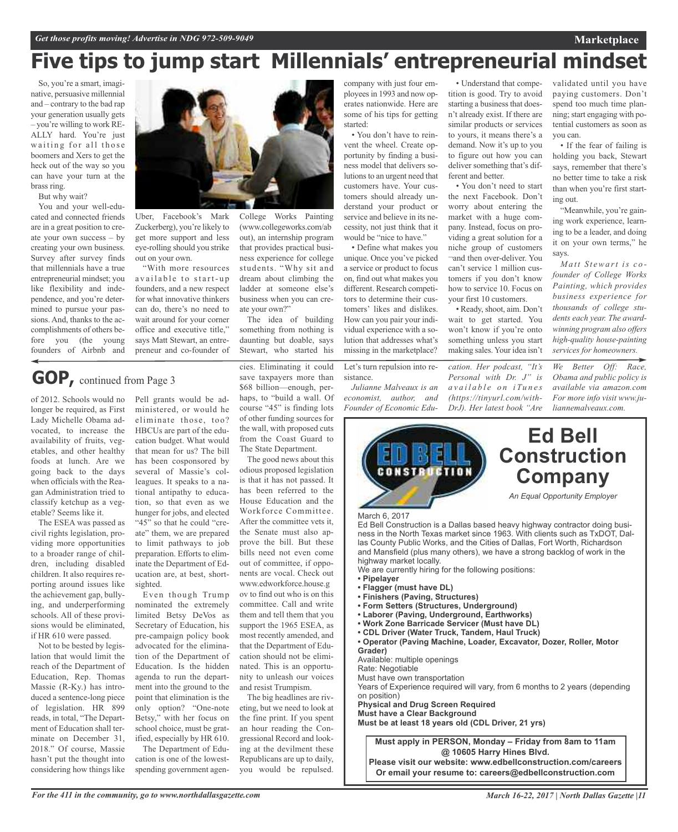## **Five tips to jump start Millennials' entrepreneurial mindset**

So, you're a smart, imaginative, persuasive millennial and – contrary to the bad rap your generation usually gets – you're willing to work RE-ALLY hard. You're just waiting for all those boomers and Xers to get the heck out of the way so you can have your turn at the brass ring.

But why wait?

You and your well-educated and connected friends are in a great position to create your own success – by creating your own business. Survey after survey finds that millennials have a true entrepreneurial mindset; you like flexibility and independence, and you're determined to pursue your passions. And, thanks to the accomplishments of others before you (the young founders of Airbnb and



Uber, Facebook's Mark Zuckerberg), you're likely to get more support and less eye-rolling should you strike out on your own.

"With more resources available to start-up founders, and a new respect for what innovative thinkers can do, there's no need to wait around for your corner office and executive title," says Matt Stewart, an entrepreneur and co-founder of

Pell grants would be ad-

College Works Painting (www.collegeworks.com/ab out), an internship program that provides practical business experience for college students. "Why sit and dream about climbing the ladder at someone else's business when you can create your own?"

The idea of building something from nothing is daunting but doable, says Stewart, who started his

### **GOP,** continued from Page <sup>3</sup>

of 2012. Schools would no longer be required, as First Lady Michelle Obama advocated, to increase the availability of fruits, vegetables, and other healthy foods at lunch. Are we going back to the days when officials with the Reagan Administration tried to classify ketchup as a vegetable? Seems like it.

The ESEA was passed as civil rights legislation, providing more opportunities to a broader range of children, including disabled children. It also requires reporting around issues like the achievement gap, bullying, and underperforming schools. All of these provisions would be eliminated, if HR 610 were passed.

Not to be bested by legislation that would limit the reach of the Department of Education, Rep. Thomas Massie (R-Ky.) has introduced a sentence-long piece of legislation. HR 899 reads, in total, "The Department of Education shall terminate on December 31, 2018." Of course, Massie hasn't put the thought into considering how things like

ministered, or would he eliminate those, too? HBCUs are part of the education budget. What would that mean for us? The bill has been cosponsored by several of Massie's colleagues. It speaks to a national antipathy to education, so that even as we hunger for jobs, and elected "45" so that he could "create" them, we are prepared to limit pathways to job preparation. Efforts to eliminate the Department of Education are, at best, shortsighted.

Even though Trump nominated the extremely limited Betsy DeVos as Secretary of Education, his pre-campaign policy book advocated for the elimination of the Department of Education. Is the hidden agenda to run the department into the ground to the point that elimination is the only option? "One-note Betsy," with her focus on school choice, must be gratified, especially by HR 610.

The Department of Education is one of the lowestspending government agen-

cies. Eliminating it could save taxpayers more than \$68 billion—enough, perhaps, to "build a wall. Of course "45" is finding lots of other funding sources for the wall, with proposed cuts from the Coast Guard to The State Department.

The good news about this odious proposed legislation is that it has not passed. It has been referred to the House Education and the Workforce Committee. After the committee vets it, the Senate must also approve the bill. But these bills need not even come out of committee, if opponents are vocal. Check out www.edworkforce.house.g ov to find out who is on this committee. Call and write them and tell them that you support the 1965 ESEA, as most recently amended, and that the Department of Education should not be eliminated. This is an opportunity to unleash our voices and resist Trumpism.

The big headlines are riveting, but we need to look at the fine print. If you spent an hour reading the Congressional Record and looking at the devilment these Republicans are up to daily, you would be repulsed.

company with just four employeesin 1993 and now operates nationwide. Here are some of his tips for getting started:

• You don't have to reinvent the wheel. Create opportunity by finding a business model that delivers solutions to an urgent need that customers have. Your customers should already understand your product or service and believe in its necessity, not just think that it would be "nice to have."

• Define what makes you unique. Once you've picked a service or product to focus on, find out what makes you different. Research competitors to determine their customers' likes and dislikes. How can you pair your individual experience with a solution that addresses what's missing in the marketplace?

Let's turn repulsion into resistance.

*Julianne Malveaux is an economist, author, and Founder of Economic Edu-*

• Understand that competition is good. Try to avoid starting a business that doesn't already exist. If there are similar products or services to yours, it means there's a demand. Now it's up to you to figure out how you can deliver something that's different and better.

• You don't need to start the next Facebook. Don't worry about entering the market with a huge company. Instead, focus on providing a great solution for a niche group of customers ¬and then over-deliver. You can't service 1 million customers if you don't know how to service 10. Focus on your first 10 customers.

• Ready,shoot, aim. Don't wait to get started. You won't know if you're onto something unless you start making sales. Your idea isn't

*cation. Her podcast, "It's Personal with Dr. J" is a v a i l a b l e o n i Tu n e s (https://tinyurl.com/with-DrJ). Her latest book "Are*

validated until you have paying customers. Don't spend too much time planning; start engaging with potential customers as soon as you can.

**Marketplace**

• If the fear of failing is holding you back, Stewart says, remember that there's no better time to take a risk than when you're first starting out.

"Meanwhile, you're gaining work experience, learning to be a leader, and doing it on your own terms," he says.

*M a t t S t ewa rt is c o founder of College Works Painting, which provides business experience for thousands of college students each year. The awardwinning program also offers high-quality house-painting services for homeowners.*

*We Better Off: Race, Obama and public policy is available via amazon.com For more info visit www.juliannemalveaux.com.*



Must have own transportation

Years of Experience required will vary, from 6 months to 2 years (depending on position) **Physical and Drug Screen Required**

**Must have a Clear Background**

**Must be at least 18 years old (CDL Driver, 21 yrs)**

**Must apply in PERSON, Monday – Friday from 8am to 11am @ 10605 Harry Hines Blvd.**

**Please visit our website: www.edbellconstruction.com/careers Or email your resume to: careers@edbellconstruction.com**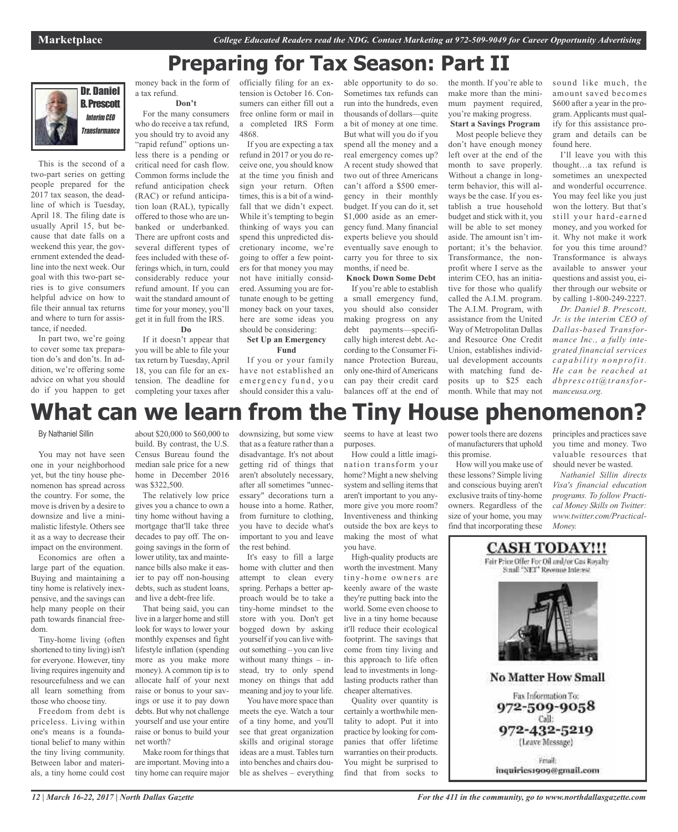## **Preparing for Tax Season: Part II**



This is the second of a two-part series on getting people prepared for the 2017 tax season, the deadline of which is Tuesday, April 18. The filing date is usually April 15, but because that date falls on a weekend this year, the government extended the deadline into the next week. Our goal with this two-part series is to give consumers helpful advice on how to file their annual tax returns and where to turn for assistance, if needed.

In part two, we're going to cover some tax preparation do's and don'ts. In addition, we're offering some advice on what you should do if you happen to get

a tax refund. **Don't**

> For the many consumers who do receive a tax refund, you should try to avoid any "rapid refund" options unless there is a pending or critical need for cash flow. Common forms include the refund anticipation check (RAC) or refund anticipation loan (RAL), typically offered to those who are unbanked or underbanked. There are upfront costs and several different types of fees included with these offerings which, in turn, could considerably reduce your refund amount. If you can wait the standard amount of time for your money, you'll get it in full from the IRS.

**Do** If it doesn't appear that you will be able to file your tax return by Tuesday, April 18, you can file for an extension. The deadline for completing your taxes after

money back in the form of officially filing for an extension is October 16. Consumers can either fill out a free online form or mail in a completed IRS Form 4868.

> If you are expecting a tax refund in 2017 or you do receive one, you should know at the time you finish and sign your return. Often times, this is a bit of a windfall that we didn't expect. While it's tempting to begin thinking of ways you can spend this unpredicted discretionary income, we're going to offer a few pointers for that money you may not have initially considered. Assuming you are fortunate enough to be getting money back on your taxes, here are some ideas you should be considering:

#### **Set Up an Emergency**

**Fund**

If you or your family have not established an emergency fund, you should consider this a valu-

able opportunity to do so. Sometimes tax refunds can run into the hundreds, even thousands of dollars—quite a bit of money at one time. But what will you do if you spend all the money and a real emergency comes up? A recent study showed that two out of three Americans can't afford a \$500 emergency in their monthly budget. If you can do it, set \$1,000 aside as an emergency fund. Many financial experts believe you should eventually save enough to carry you for three to six months, if need be.

**Knock Down Some Debt** If you're able to establish a small emergency fund, you should also consider making progress on any debt payments—specifically high interest debt. According to the Consumer Finance Protection Bureau, only one-third of Americans can pay their credit card balances off at the end of the month. If you're able to make more than the minimum payment required, you're making progress.

**Start a Savings Program** Most people believe they don't have enough money left over at the end of the month to save properly. Without a change in longterm behavior, this will always be the case. If you establish a true household budget and stick with it, you will be able to set money aside. The amount isn't important; it's the behavior. Transformance, the nonprofit where I serve as the interim CEO, has an initiative for those who qualify called the A.I.M. program. The A.I.M. Program, with assistance from the United Way of Metropolitan Dallas and Resource One Credit Union, establishes individual development accounts with matching fund deposits up to \$25 each month. While that may not

sound like much, the amount saved becomes \$600 after a year in the program. Applicants must qualify for this assistance program and details can be found here.

I'll leave you with this thought…a tax refund is sometimes an unexpected and wonderful occurrence. You may feel like you just won the lottery. But that's still your hard-earned money, and you worked for it. Why not make it work for you this time around? Transformance is always available to answer your questions and assist you, either through our website or by calling 1-800-249-2227.

*Dr. Daniel B. Prescott, Jr. is the interim CEO of Dallas-based Transformance Inc., a fully integrated financial services c a p a b i l i t y n o n p ro f i t . He can be reached at dbpre s cott@transformanceusa.org.*

## **What can we learn from the Tiny House phenomenon?**

### By Nathaniel Sillin

You may not have seen one in your neighborhood yet, but the tiny house phenomenon has spread across the country. For some, the move is driven by a desire to downsize and live a minimalistic lifestyle. Others see it as a way to decrease their impact on the environment.

Economics are often a large part of the equation. Buying and maintaining a tiny home is relatively inexpensive, and the savings can help many people on their path towards financial freedom.

Tiny-home living (often shortened to tiny living) isn't for everyone. However, tiny living requires ingenuity and resourcefulness and we can all learn something from those who choose tiny.

Freedom from debt is priceless. Living within one's means is a foundational belief to many within the tiny living community. Between labor and materials, a tiny home could cost

about \$20,000 to \$60,000 to build. By contrast, the U.S. Census Bureau found the median sale price for a new home in December 2016 was \$322,500.

The relatively low price gives you a chance to own a tiny home without having a mortgage that'll take three decades to pay off. The ongoing savings in the form of lower utility, tax and maintenance bills also make it easier to pay off non-housing debts, such as student loans, and live a debt-free life.

That being said, you can live in a larger home and still look for ways to lower your monthly expenses and fight lifestyle inflation (spending more as you make more money). A common tip is to allocate half of your next raise or bonus to your savings or use it to pay down debts. But why not challenge yourself and use your entire raise or bonus to build your net worth?

Make room for things that are important. Moving into a tiny home can require major

downsizing, but some view that as a feature rather than a disadvantage. It's not about getting rid of things that aren't absolutely necessary, after all sometimes "unnecessary" decorations turn a house into a home. Rather, from furniture to clothing, you have to decide what's important to you and leave the rest behind.

It's easy to fill a large home with clutter and then attempt to clean every spring. Perhaps a better approach would be to take a tiny-home mindset to the store with you. Don't get bogged down by asking yourself if you can live withoutsomething – you can live without many things – instead, try to only spend money on things that add meaning and joy to your life.

You have more space than meets the eye. Watch a tour of a tiny home, and you'll see that great organization skills and original storage ideas are a must. Tables turn into benches and chairs double as shelves – everything

seems to have at least two purposes.

How could a little imagination transform your home? Might a new shelving system and selling items that aren't important to you anymore give you more room? Inventiveness and thinking outside the box are keys to making the most of what you have.

High-quality products are worth the investment. Many tiny-home owners are keenly aware of the waste they're putting back into the world. Some even choose to live in a tiny home because it'll reduce their ecological footprint. The savings that come from tiny living and this approach to life often lead to investments in longlasting products rather than cheaper alternatives.

Quality over quantity is certainly a worthwhile mentality to adopt. Put it into practice by looking for companies that offer lifetime warranties on their products. You might be surprised to find that from socks to

power tools there are dozens of manufacturers that uphold this promise.

How will you make use of these lessons? Simple living and conscious buying aren't exclusive traits of tiny-home owners. Regardless of the size of your home, you may find that incorporating these principles and practices save you time and money. Two valuable resources that should never be wasted.

*Nathaniel Sillin directs Visa's financial education programs. To follow Practical Money Skills on Twitter: www.twitter.com/Practical-Money.*

## **CASH TODAY!!!** Fair Price Offer For Oil and/or Gas Royalty Small "NET" Revenue Interest **No Matter How Small** Fax Information To: 972-509-9058 Call: 972-432-5219 (Leave Message) Friall: inquiries1909@gmail.com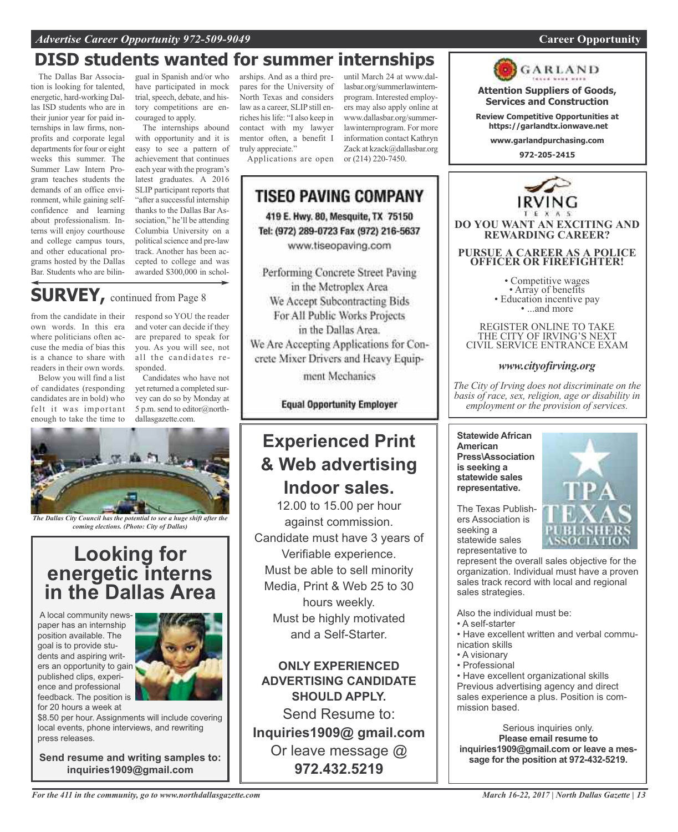### **DISD students wanted for summer internships**

The Dallas Bar Association is looking for talented, energetic, hard-working Dallas ISD students who are in their junior year for paid internships in law firms, nonprofits and corporate legal departments for four or eight weeks this summer. The Summer Law Intern Program teaches students the demands of an office environment, while gaining selfconfidence and learning about professionalism. Interns will enjoy courthouse and college campus tours, and other educational programs hosted by the Dallas Bar. Students who are bilin-

gual in Spanish and/or who have participated in mock trial, speech, debate, and history competitions are encouraged to apply.

The internships abound with opportunity and it is easy to see a pattern of achievement that continues each year with the program's latest graduates. A 2016 SLIP participant reports that "after a successful internship thanks to the Dallas Bar Association," he'll be attending Columbia University on a political science and pre-law track. Another has been accepted to college and was awarded \$300,000 in schol-

### **SURVEY**, continued from Page 8

from the candidate in their own words. In this era where politicians often accuse the media of bias this is a chance to share with readers in their own words.

Below you will find a list of candidates (responding candidates are in bold) who felt it was important enough to take the time to

respond so YOU the reader and voter can decide if they are prepared to speak for you. As you will see, not all the candidates responded.

Candidates who have not yet returned a completed survey can do so by Monday at 5 p.m. send to editor@northdallasgazette.com.



*The Dallas City Council has the potential to see a huge shift after the coming elections. (Photo: City of Dallas)*

## **Looking for energetic interns in the Dallas Area**

A local community newspaper has an internship position available. The goal is to provide students and aspiring writers an opportunity to gain published clips, experience and professional feedback. The position is for 20 hours a week at



\$8.50 per hour. Assignments will include covering local events, phone interviews, and rewriting press releases.

**Send resume and writing samples to: inquiries1909@gmail.com**

arships. And as a third prepares for the University of North Texas and considers law as a career, SLIP still enriches hislife: "I also keep in contact with my lawyer mentor often, a benefit I truly appreciate."

Applications are open

## **TISEO PAVING COMPANY**

until March 24 at www.dallasbar.org/summerlawinternprogram. Interested employers may also apply online at www.dallasbar.org/summerlawinternprogram. For more information contact Kathryn Zack at kzack@dallasbar.org

or (214) 220-7450.

419 E. Hwy. 80, Mesquite, TX 75150 Tel: (972) 289-0723 Fax (972) 216-5637 www.tiseopaving.com

Performing Concrete Street Paving in the Metroplex Area We Accept Subcontracting Bids For All Public Works Projects in the Dallas Area. We Are Accepting Applications for Concrete Mixer Drivers and Heavy Equip-

ment Mechanics

### **Equal Opportunity Employer**

## **Experienced Print & Web advertising Indoor sales.**

12.00 to 15.00 per hour against commission. Candidate must have 3 years of Verifiable experience. Must be able to sell minority Media, Print & Web 25 to 30 hours weekly. Must be highly motivated and a Self-Starter.

**ONLY EXPERIENCED ADVERTISING CANDIDATE SHOULD APPLY.**

Send Resume to: **Inquiries1909@ gmail.com** Or leave message @ **972.432.5219**



**Attention Suppliers of Goods, Services and Construction**

**Review Competitive Opportunities at https://garlandtx.ionwave.net**

**www.garlandpurchasing.com**

**972-205-2415**



THE CITY OF IRVING'S NEXT CIVIL SERVICE ENTRANCE EXAM

### *www.cityofirving.org*

*The City of Irving does not discriminate on the basis of race, sex, religion, age or disability in employment or the provision of services.*

**Statewide African American Press\Association is seeking a statewide sales representative.**

The Texas Publishers Association is seeking a statewide sales representative to

represent the overall sales objective for the organization. Individual must have a proven sales track record with local and regional sales strategies.

Also the individual must be:

- A self-starter
- Have excellent written and verbal communication skills
- A visionary
- Professional

• Have excellent organizational skills Previous advertising agency and direct sales experience a plus. Position is commission based.

Serious inquiries only. **Please email resume to inquiries1909@gmail.com or leave a message for the position at 972-432-5219.**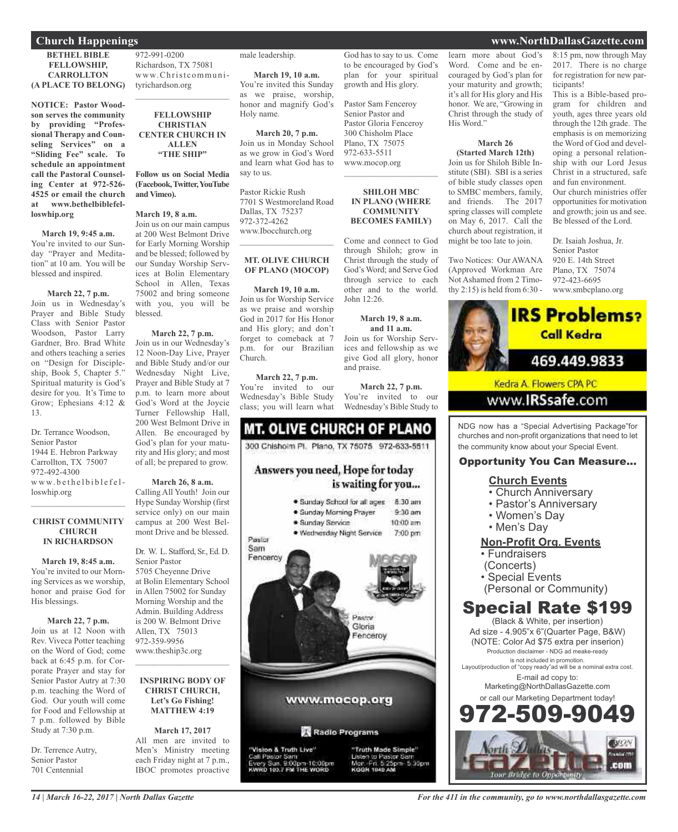**BETHEL BIBLE FELLOWSHIP, CARROLLTON (A PLACE TO BELONG)**

**NOTICE: Pastor Woodson serves the community by providing "Professional Therapy and Counseling Services" on a "Sliding Fee" scale. To schedule an appointment call the Pastoral Counseling Center at 972-526- 4525 or email the church at www.bethelbiblefelloswhip.org**

#### **March 19, 9:45 a.m.**

You're invited to our Sunday "Prayer and Meditation" at 10 am. You will be blessed and inspired.

#### **March 22, 7 p.m.**

Join us in Wednesday's Prayer and Bible Study Class with Senior Pastor Woodson, Pastor Larry Gardner, Bro. Brad White and others teaching a series on "Design for Discipleship, Book 5, Chapter 5." Spiritual maturity is God's desire for you. It's Time to Grow; Ephesians 4:12 & 13.

Dr. Terrance Woodson, Senior Pastor 1944 E. Hebron Parkway Carrollton, TX 75007 972-492-4300 www.bethelbiblefelloswhip.org

#### **CHRIST COMMUNITY CHURCH IN RICHARDSON**

 $\mathcal{L}_\text{max}$  and  $\mathcal{L}_\text{max}$  and  $\mathcal{L}_\text{max}$ 

**March 19, 8:45 a.m.** You're invited to our Morning Services as we worship, honor and praise God for His blessings.

**March 22, 7 p.m.** Join us at 12 Noon with Rev. Viveca Potter teaching on the Word of God; come back at 6:45 p.m. for Corporate Prayer and stay for Senior Pastor Autry at 7:30 p.m. teaching the Word of God. Our youth will come for Food and Fellowship at 7 p.m. followed by Bible Study at 7:30 p.m.

Dr. Terrence Autry, Senior Pastor 701 Centennial

972-991-0200 Richardson, TX 75081 www.Christcommunityrichardson.org

**FELLOWSHIP CHRISTIAN CENTER CHURCH IN ALLEN "THE SHIP"**

 $\mathcal{L}_\text{max}$  , which is a set of the set of the set of the set of the set of the set of the set of the set of the set of the set of the set of the set of the set of the set of the set of the set of the set of the set of

**Follow us on Social Media (Facebook,Twitter,YouTube and Vimeo).**

#### **March 19, 8 a.m.**

Join us on our main campus at 200 West Belmont Drive for Early Morning Worship and be blessed; followed by our Sunday Worship Services at Bolin Elementary School in Allen, Texas 75002 and bring someone with you, you will be blessed.

#### **March 22, 7 p.m.**

Join us in our Wednesday's 12 Noon-Day Live, Prayer and Bible Study and/or our Wednesday Night Live, Prayer and Bible Study at 7 p.m. to learn more about God's Word at the Joycie Turner Fellowship Hall, 200 West Belmont Drive in Allen. Be encouraged by God's plan for your maturity and His glory; and most of all; be prepared to grow.

**March 26, 8 a.m.** Calling All Youth! Join our Hype Sunday Worship (first service only) on our main campus at 200 West Belmont Drive and be blessed.

Dr. W. L. Stafford, Sr., Ed. D. Senior Pastor 5705 Cheyenne Drive at Bolin Elementary School in Allen 75002 for Sunday Morning Worship and the Admin. Building Address is 200 W. Belmont Drive Allen, TX 75013 972-359-9956 www.theship3c.org  $\mathcal{L}_\text{max}$  , which is a set of the set of the set of the set of the set of the set of the set of the set of the set of the set of the set of the set of the set of the set of the set of the set of the set of the set of

#### **INSPIRING BODY OF CHRIST CHURCH, Let's Go Fishing! MATTHEW 4:19**

**March 17, 2017** All men are invited to Men's Ministry meeting each Friday night at 7 p.m., IBOC promotes proactive

male leadership.

**March 19, 10 a.m.** You're invited this Sunday as we praise, worship, honor and magnify God's Holy name.

**March 20, 7 p.m.** Join us in Monday School as we grow in God's Word and learn what God has to say to us.

Pastor Rickie Rush 7701 S Westmoreland Road Dallas, TX 75237 972-372-4262 www.Ibocchurch.org

#### **MT. OLIVE CHURCH OF PLANO (MOCOP)**

 $\overline{\phantom{a}}$  , and the set of the set of the set of the set of the set of the set of the set of the set of the set of the set of the set of the set of the set of the set of the set of the set of the set of the set of the s

**March 19, 10 a.m.** Join us for Worship Service as we praise and worship God in 2017 for His Honor and His glory; and don't forget to comeback at 7 p.m. for our Brazilian Church.

#### **March 22, 7 p.m.**

You're invited to our Wednesday's Bible Study class; you will learn what



God has to say to us. Come to be encouraged by God's plan for your spiritual growth and His glory.

Pastor Sam Fenceroy Senior Pastor and Pastor Gloria Fenceroy 300 Chisholm Place Plano, TX 75075 972-633-5511 www.mocop.org  $\overline{\phantom{a}}$  , and the set of the set of the set of the set of the set of the set of the set of the set of the set of the set of the set of the set of the set of the set of the set of the set of the set of the set of the s

### **SHILOH MBC IN PLANO (WHERE COMMUNITY BECOMES FAMILY)**

Come and connect to God through Shiloh; grow in Christ through the study of God's Word; and Serve God through service to each other and to the world. John 12:26.

### **March 19, 8 a.m.**

**and 11 a.m.** Join us for Worship Services and fellowship as we give God all glory, honor and praise.

**March 22, 7 p.m.** You're invited to our Wednesday's Bible Study to learn more about God's Word. Come and be encouraged by God's plan for your maturity and growth; it's all for His glory and His honor. We are, "Growing in Christ through the study of His Word."

### **March 26**

**(Started March 12th)** Join us for Shiloh Bible Institute (SBI). SBI is a series of bible study classes open to SMBC members, family, and friends. The 2017 spring classes will complete on May 6, 2017. Call the church about registration, it might be too late to join.

Two Notices: Our AWANA (Approved Workman Are Not Ashamed from 2 Timothy  $2:15$ ) is held from  $6:30$  -

8:15 pm, now through May 2017. There is no charge for registration for new participants!

This is a Bible-based program for children and youth, ages three years old through the 12th grade. The emphasis is on memorizing the Word of God and developing a personal relationship with our Lord Jesus Christ in a structured, safe and fun environment. Our church ministries offer opportunities for motivation and growth; join us and see. Be blessed of the Lord.

Dr. Isaiah Joshua, Jr. Senior Pastor 920 E. 14th Street Plano, TX 75074 972-423-6695 www.smbcplano.org



NDG now has a "Special Advertising Package"for churches and non-profit organizations that need to let the community know about your Special Event.

### Opportunity You Can Measure...

### **Church Events**

- Church Anniversary
- Pastor's Anniversary
- Women's Day
- Men's Day

### **Non-Profit Org. Events**

- Fundraisers
- (Concerts)
- Special Events
- (Personal or Community)

### Special Rate \$199

(Black & White, per insertion) Ad size - 4.905"x 6"(Quarter Page, B&W) (NOTE: Color Ad \$75 extra per inserion) Production disclaimer - NDG ad meake-ready is not included in promotion. Layout/production of "copy ready"ad will be a nominal extra cost. E-mail ad copy to: Marketing@NorthDallasGazette.com or call our Marketing Department today! 509-9



### **Church Happenings www.NorthDallasGazette.com**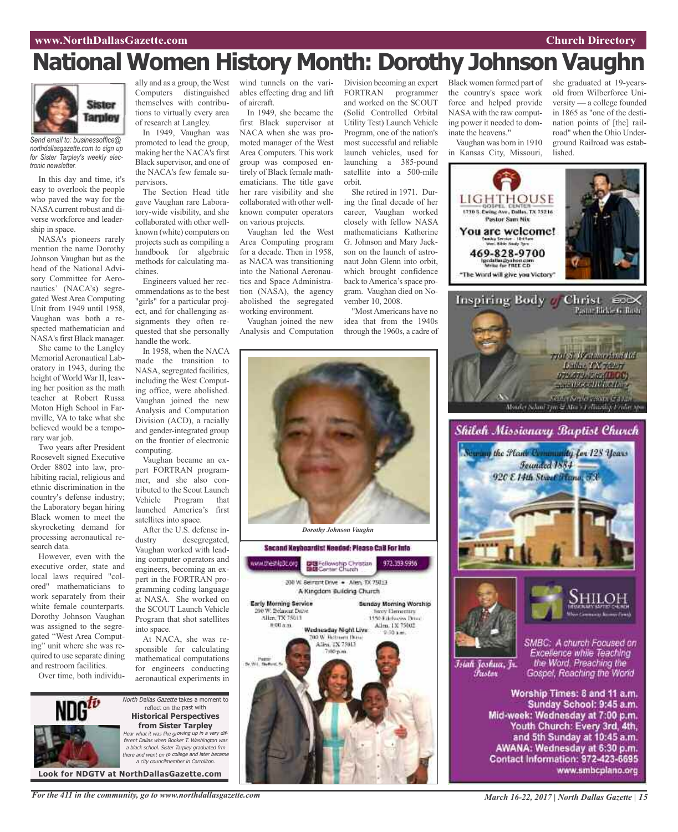## **National Women History Month: Dorothy Johnson Vaughn**



*Send email to: businessoffice@ northdallasgazette.com to sign up for Sister Tarpley's weekly electronic newsletter.*

In this day and time, it's easy to overlook the people who paved the way for the NASAcurrent robust and diverse workforce and leadership in space.

NASA's pioneers rarely mention the name Dorothy Johnson Vaughan but as the head of the National Advisory Committee for Aeronautics' (NACA's) segregated West Area Computing Unit from 1949 until 1958, Vaughan was both a respected mathematician and NASA's first Black manager.

She came to the Langley Memorial Aeronautical Laboratory in 1943, during the height of World War II, leaving her position as the math teacher at Robert Russa Moton High School in Farmville, VA to take what she believed would be a temporary war job.

Two years after President Roosevelt signed Executive Order 8802 into law, prohibiting racial, religious and ethnic discrimination in the country's defense industry; the Laboratory began hiring Black women to meet the skyrocketing demand for processing aeronautical research data.

However, even with the executive order, state and local laws required "colored" mathematicians to work separately from their white female counterparts. Dorothy Johnson Vaughan was assigned to the segregated "West Area Computing" unit where she was required to use separate dining and restroom facilities.

Over time, both individu-

ally and as a group, the West Computers distinguished themselves with contributions to virtually every area of research at Langley.

In 1949, Vaughan was promoted to lead the group, making her the NACA's first Black supervisor, and one of the NACA's few female supervisors.

The Section Head title gave Vaughan rare Laboratory-wide visibility, and she collaborated with other wellknown (white) computers on projects such as compiling a handbook for algebraic methods for calculating machines.

Engineers valued her recommendations as to the best "girls" for a particular project, and for challenging assignments they often requested that she personally handle the work.

In 1958, when the NACA made the transition to NASA, segregated facilities, including the West Computing office, were abolished. Vaughan joined the new Analysis and Computation Division (ACD), a racially and gender-integrated group on the frontier of electronic computing.

Vaughan became an expert FORTRAN programmer, and she also contributed to the Scout Launch Vehicle Program that launched America's first satellites into space.

After the U.S. defense industry desegregated, Vaughan worked with leading computer operators and engineers, becoming an expert in the FORTRAN programming coding language at NASA. She worked on the SCOUT Launch Vehicle Program that shot satellites into space.

At NACA, she was responsible for calculating mathematical computations for engineers conducting aeronautical experiments in



*For the 411 in the community, go to www.northdallasgazette.com*

wind tunnels on the variables effecting drag and lift of aircraft.

In 1949, she became the first Black supervisor at NACA when she was promoted manager of the West Area Computers. This work group was composed entirely of Black female mathematicians. The title gave her rare visibility and she collaborated with other wellknown computer operators on various projects.

Vaughan led the West Area Computing program for a decade. Then in 1958, as NACA was transitioning into the National Aeronautics and Space Administration (NASA), the agency abolished the segregated working environment.

Vaughan joined the new Analysis and Computation

Division becoming an expert FORTRAN programmer and worked on the SCOUT (Solid Controlled Orbital Utility Test) Launch Vehicle Program, one of the nation's most successful and reliable launch vehicles, used for launching a 385-pound satellite into a 500-mile orbit.

She retired in 1971. During the final decade of her career, Vaughan worked closely with fellow NASA mathematicians Katherine G. Johnson and Mary Jackson on the launch of astronaut John Glenn into orbit, which brought confidence back to America's space program. Vaughan died on November 10, 2008.

"Most Americans have no idea that from the 1940s through the 1960s, a cadre of

*Dorothy Johnson Vaughn* Second Keyboardist Needed: Please CaB For Info **Big** Fellowship Christian<br>图图 Center Church 972.359.9956 www.theshlp3c.org 200 W. Berrort Drive . - Allen, TX 75013 A Kingdom Building Church  $1928.$  Elevel Liementry<br>  $1923.$  Elevel Drasa<br>
Wiednicaday Night Live —  $\frac{\text{Alim}}{9.50}$  a.e.<br>  $200 \text{ W}$  Hetmen Drasa 200 W. Belascar, Drive Allen, TX 75013 #00 a.m. Allen, TX 75013  $700~\text{p}$ m

Black women formed part of the country's space work force and helped provide NASAwith the raw computing power it needed to dominate the heavens."

Vaughan was born in 1910 in Kansas City, Missouri,

she graduated at 19-yearsold from Wilberforce University — a college founded in 1865 as "one of the destination points of [the] railroad" when the Ohio Underground Railroad was established.